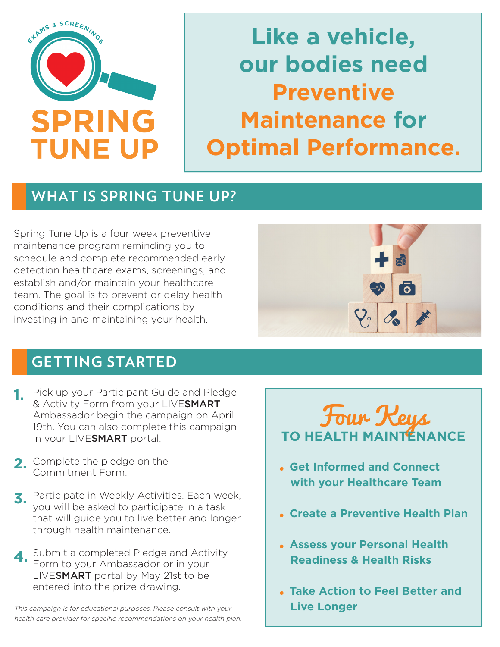

**Like a vehicle, our bodies need Preventive Maintenance for Optimal Performance.**

## **WHAT IS SPRING TUNE UP?**

Spring Tune Up is a four week preventive maintenance program reminding you to schedule and complete recommended early detection healthcare exams, screenings, and establish and/or maintain your healthcare team. The goal is to prevent or delay health conditions and their complications by investing in and maintaining your health.

# **GETTING STARTED**

- **1.** Pick up your Participant Guide and Pledge & Activity Form from your LIVESMART Ambassador begin the campaign on April 19th. You can also complete this campaign in your LIVESMART portal.
- 2. Complete the pledge on the Commitment Form.
- Participate in Weekly Activities. Each week, **3.** you will be asked to participate in a task that will guide you to live better and longer through health maintenance.
- Submit a completed Pledge and Activity Form to your Ambassador or in your LIVESMART portal by May 21st to be entered into the prize drawing. **4.**

This campaign is for educational purposes. Please consult with your health care provider for specific recommendations on your health plan.





- · **Get Informed and Connect with your Healthcare Team**
- · **Create a Preventive Health Plan**
- · **Assess your Personal Health Readiness & Health Risks**
- · **Take Action to Feel Better and Live Longer**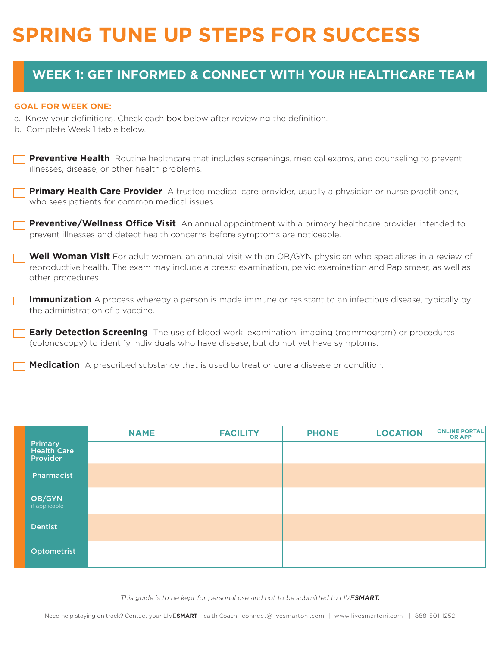# **SPRING TUNE UP STEPS FOR SUCCESS**

### **WEEK 1: GET INFORMED & CONNECT WITH YOUR HEALTHCARE TEAM**

#### **GOAL FOR WEEK ONE:**

- a. Know your definitions. Check each box below after reviewing the definition.
- b. Complete Week 1 table below.

**Preventive Health** Routine healthcare that includes screenings, medical exams, and counseling to prevent illnesses, disease, or other health problems.

**Primary Health Care Provider** A trusted medical care provider, usually a physician or nurse practitioner, who sees patients for common medical issues.

**Preventive/Wellness Office Visit** An annual appointment with a primary healthcare provider intended to prevent illnesses and detect health concerns before symptoms are noticeable.

**Well Woman Visit** For adult women, an annual visit with an OB/GYN physician who specializes in a review of reproductive health. The exam may include a breast examination, pelvic examination and Pap smear, as well as other procedures.

**Immunization** A process whereby a person is made immune or resistant to an infectious disease, typically by the administration of a vaccine.

**Early Detection Screening** The use of blood work, examination, imaging (mammogram) or procedures (colonoscopy) to identify individuals who have disease, but do not yet have symptoms.

**Medication** A prescribed substance that is used to treat or cure a disease or condition.

|                                                  | <b>NAME</b> | <b>FACILITY</b> | <b>PHONE</b> | <b>LOCATION</b> | <b>ONLINE PORTAL</b><br><b>OR APP</b> |
|--------------------------------------------------|-------------|-----------------|--------------|-----------------|---------------------------------------|
| <b>Primary</b><br><b>Health Care</b><br>Provider |             |                 |              |                 |                                       |
| Pharmacist                                       |             |                 |              |                 |                                       |
| OB/GYN<br>if applicable                          |             |                 |              |                 |                                       |
| <b>Dentist</b>                                   |             |                 |              |                 |                                       |
| Optometrist                                      |             |                 |              |                 |                                       |

This guide is to be kept for personal use and not to be submitted to LIVESMART.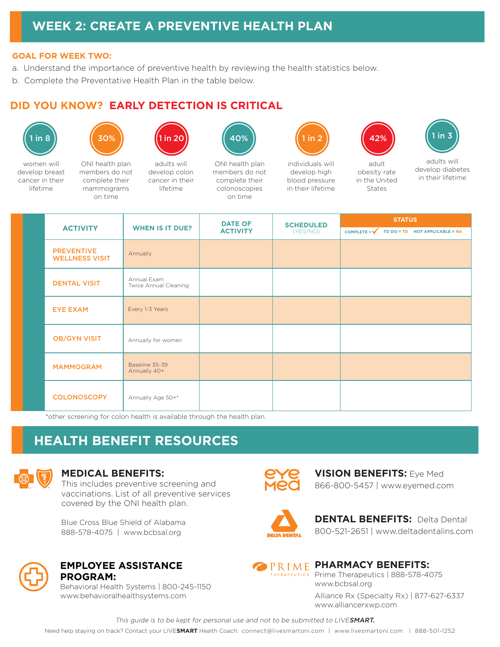### **WEEK 2: CREATE A PREVENTIVE HEALTH PLAN**

#### **GOAL FOR WEEK TWO:**

- a. Understand the importance of preventive health by reviewing the health statistics below.
- b. Complete the Preventative Health Plan in the table below.

#### **DID YOU KNOW? EARLY DETECTION IS CRITICAL**





on time



women will develop breast cancer in their lifetime

ONI health plan members do not complete their mammograms

adults will develop colon cancer in their

lifetime



ONI health plan members do not complete their colonoscopies on time





adult obesity rate in the United States



individuals will develop high blood pressure in their lifetime

adults will develop diabetes in their lifetime

|  | <b>ACTIVITY</b>                            | <b>WHEN IS IT DUE?</b>               | <b>DATE OF</b><br><b>ACTIVITY</b> | <b>SCHEDULED</b><br>(YES/NO) | <b>STATUS</b>                                             |  |
|--|--------------------------------------------|--------------------------------------|-----------------------------------|------------------------------|-----------------------------------------------------------|--|
|  |                                            |                                      |                                   |                              | COMPLETE = $\checkmark$<br>TO DO = TD NOT APPLICABLE = NA |  |
|  | <b>PREVENTIVE</b><br><b>WELLNESS VISIT</b> | Annually                             |                                   |                              |                                                           |  |
|  | <b>DENTAL VISIT</b>                        | Annual Exam<br>Twice Annual Cleaning |                                   |                              |                                                           |  |
|  | <b>EYE EXAM</b>                            | Every 1-3 Years                      |                                   |                              |                                                           |  |
|  | <b>OB/GYN VISIT</b>                        | Annually for women                   |                                   |                              |                                                           |  |
|  | <b>MAMMOGRAM</b>                           | Baseline 35-39<br>Annually 40+       |                                   |                              |                                                           |  |
|  | <b>COLONOSCOPY</b>                         | Annually Age 50+*                    |                                   |                              |                                                           |  |

\*other screening for colon health is available through the health plan.

### **HEALTH BENEFIT RESOURCES**



#### **MEDICAL BENEFITS:**

This includes preventive screening and vaccinations. List of all preventive services covered by the ONI health plan.

Blue Cross Blue Shield of Alabama 888-578-4075 | www.bcbsal.org



**EMPLOYEE ASSISTANCE PROGRAM:**

Behavioral Health Systems | 800-245-1150 www.behavioralhealthsystems.com



**VISION BENEFITS:** Eye Med 866-800-5457 | www.eyemed.com



**DENTAL BENEFITS: Delta Dental** 800-521-2651 | www.deltadentalins.com



#### **PRIME PHARMACY BENEFITS:** Prime Therapeutics | 888-578-4075

www.bcbsal.org

Alliance Rx (Specialty Rx) | 877-627-6337 www.alliancerxwp.com

This guide is to be kept for personal use and not to be submitted to LIVESMART.

Need help staying on track? Contact your LIVE**SMART** Health Coach: connect@livesmartoni.com | www.livesmartoni.com | 888-501-1252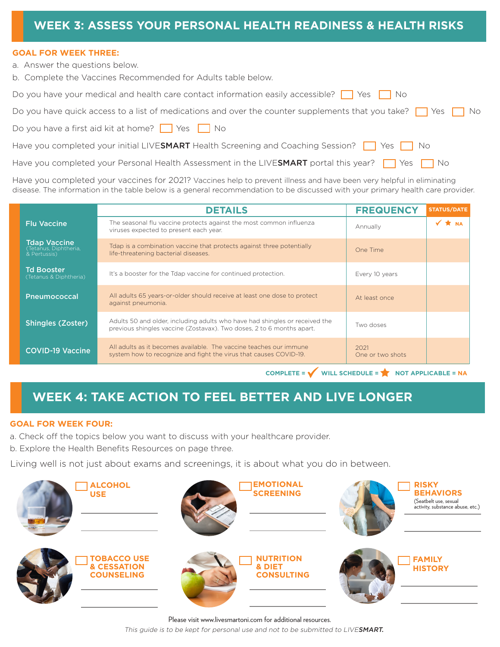### **WEEK 3: ASSESS YOUR PERSONAL HEALTH READINESS & HEALTH RISKS**

#### **GOAL FOR WEEK THREE:**

a. Answer the questions below.

b. Complete the Vaccines Recommended for Adults table below.

Have you completed your Personal Health Assessment in the LIVESMART portal this year?  $\Box$  Yes  $\Box$  No

Have you completed your vaccines for 2021? Vaccines help to prevent illness and have been very helpful in eliminating disease. The information in the table below is a general recommendation to be discussed with your primary health care provider.

|                                                              | <b>DETAILS</b>                                                                                                                                       | <b>FREQUENCY</b>         | <b>STATUS/DATE</b> |
|--------------------------------------------------------------|------------------------------------------------------------------------------------------------------------------------------------------------------|--------------------------|--------------------|
| <b>Flu Vaccine</b>                                           | The seasonal flu vaccine protects against the most common influenza<br>viruses expected to present each year.                                        | Annually                 | $\sqrt{\star}$ NA  |
| <b>Tdap Vaccine</b><br>(Tetanus, Diphtheria,<br>& Pertussis) | Tdap is a combination vaccine that protects against three potentially<br>life-threatening bacterial diseases.                                        | One Time                 |                    |
| <b>Td Booster</b><br>(Tetanus & Diphtheria)                  | It's a booster for the Tdap vaccine for continued protection.                                                                                        | Every 10 years           |                    |
| <b>Pneumococcal</b>                                          | All adults 65 years-or-older should receive at least one dose to protect<br>against pneumonia.                                                       | At least once            |                    |
| <b>Shingles (Zoster)</b>                                     | Adults 50 and older, including adults who have had shingles or received the<br>previous shingles vaccine (Zostavax). Two doses, 2 to 6 months apart. | Two doses                |                    |
| <b>COVID-19 Vaccine</b>                                      | All adults as it becomes available. The vaccine teaches our immune<br>system how to recognize and fight the virus that causes COVID-19.              | 2021<br>One or two shots |                    |

 $COMPLETE = \bigvee$  WILL SCHEDULE =  $\bigvee$  NOT APPLICABLE = NA

### **WEEK 4: TAKE ACTION TO FEEL BETTER AND LIVE LONGER**

#### **GOAL FOR WEEK FOUR:**

a. Check off the topics below you want to discuss with your healthcare provider.

b. Explore the Health Benefits Resources on page three.

Living well is not just about exams and screenings, it is about what you do in between.



Please visit www.livesmartoni.com for additional resources. This guide is to be kept for personal use and not to be submitted to LIVESMART.